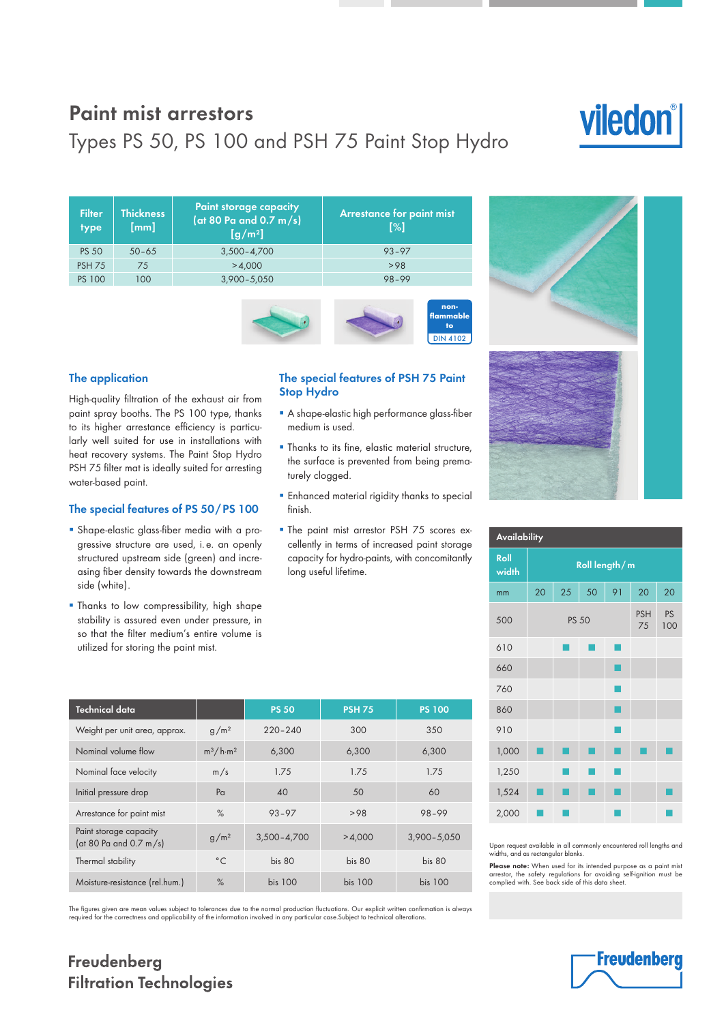## Paint mist arrestors

# Types PS 50, PS 100 and PSH 75 Paint Stop Hydro

| <b>Filter</b><br>type | <b>Thickness</b><br>[mm] | <b>Paint storage capacity</b><br>(at 80 Pa and 0.7 m/s)<br>$[g/m^2]$ | <b>Arrestance for paint mist</b><br>$\lceil \frac{9}{6} \rceil$ |
|-----------------------|--------------------------|----------------------------------------------------------------------|-----------------------------------------------------------------|
| <b>PS 50</b>          | $50 - 65$                | $3,500 - 4,700$                                                      | $93 - 97$                                                       |
| <b>PSH 75</b>         | 75                       | >4.000                                                               | >98                                                             |
| <b>PS 100</b>         | 100                      | $3,900 - 5,050$                                                      | $98 - 99$                                                       |
|                       |                          |                                                                      |                                                                 |



#### The application

High-quality filtration of the exhaust air from paint spray booths. The PS 100 type, thanks to its higher arrestance efficiency is particularly well suited for use in installations with heat recovery systems. The Paint Stop Hydro PSH 75 filter mat is ideally suited for arresting water-based paint.

#### The special features of PS 50 / PS 100

- **•** Shape-elastic glass-fiber media with a progressive structure are used, i. e. an openly structured upstream side (green) and increasing fiber density towards the downstream side (white).
- **Thanks to low compressibility, high shape** stability is assured even under pressure, in so that the filter medium's entire volume is utilized for storing the paint mist.

#### The special features of PSH 75 Paint Stop Hydro

- **A shape-elastic high performance glass-fiber** medium is used.
- Thanks to its fine, elastic material structure, the surface is prevented from being prematurely clogged.
- **Enhanced material rigidity thanks to special** finish.
- The paint mist arrestor PSH 75 scores excellently in terms of increased paint storage capacity for hydro-paints, with concomitantly long useful lifetime.

| Technical data                                   |                  | <b>PS 50</b>      | <b>PSH 75</b>     | <b>PS 100</b>   |
|--------------------------------------------------|------------------|-------------------|-------------------|-----------------|
| Weight per unit area, approx.                    | g/m <sup>2</sup> | $220 - 240$       | 300               | 350             |
| Nominal volume flow                              | $m^3/h·m^2$      | 6,300             | 6,300             | 6,300           |
| Nominal face velocity                            | m/s              | 1.75              | 1.75              | 1.75            |
| Initial pressure drop                            | P <sub>G</sub>   | 40                | 50                | 60              |
| Arrestance for paint mist                        | $\%$             | $93 - 97$         | >98               | $98 - 99$       |
| Paint storage capacity<br>(at 80 Pa and 0.7 m/s) | g/m <sup>2</sup> | $3,500 - 4,700$   | >4,000            | $3,900 - 5,050$ |
| Thermal stability                                | $^{\circ}$ C     | bis <sub>80</sub> | bis <sub>80</sub> | bis 80          |
| Moisture-resistance (rel.hum.)                   | $\%$             | <b>bis 100</b>    | <b>bis 100</b>    | <b>bis 100</b>  |

The figures given are mean values subject to tolerances due to the normal production fluctuations. Our explicit written confirmation is always<br>required for the correctness and applicability of the information involved in a

# viledon®



| <b>Availability</b> |               |    |    |                  |           |    |  |  |
|---------------------|---------------|----|----|------------------|-----------|----|--|--|
| Roll<br>width       | Roll length/m |    |    |                  |           |    |  |  |
| mm                  | 20            | 25 | 50 | 91               | 20        | 20 |  |  |
| 500                 | <b>PS 50</b>  |    |    | <b>PSH</b><br>75 | PS<br>100 |    |  |  |
| 610                 |               |    |    |                  |           |    |  |  |
| 660                 |               |    |    |                  |           |    |  |  |
| 760                 |               |    |    |                  |           |    |  |  |
| 860                 |               |    |    |                  |           |    |  |  |
| 910                 |               |    |    |                  |           |    |  |  |
| 1,000               |               |    |    |                  |           |    |  |  |
| 1,250               |               |    |    |                  |           |    |  |  |
| 1,524               |               |    |    |                  |           |    |  |  |
| 2,000               |               |    |    |                  |           |    |  |  |

Upon request available in all commonly encountered roll lengths and widths, and as rectangular blanks.

Please note: When used for its intended purpose as a paint mist arrestor, the safety regulations for avoiding self-ignition must be complied with. See back side of this data sheet.



### Freudenberg **Filtration Technologies**